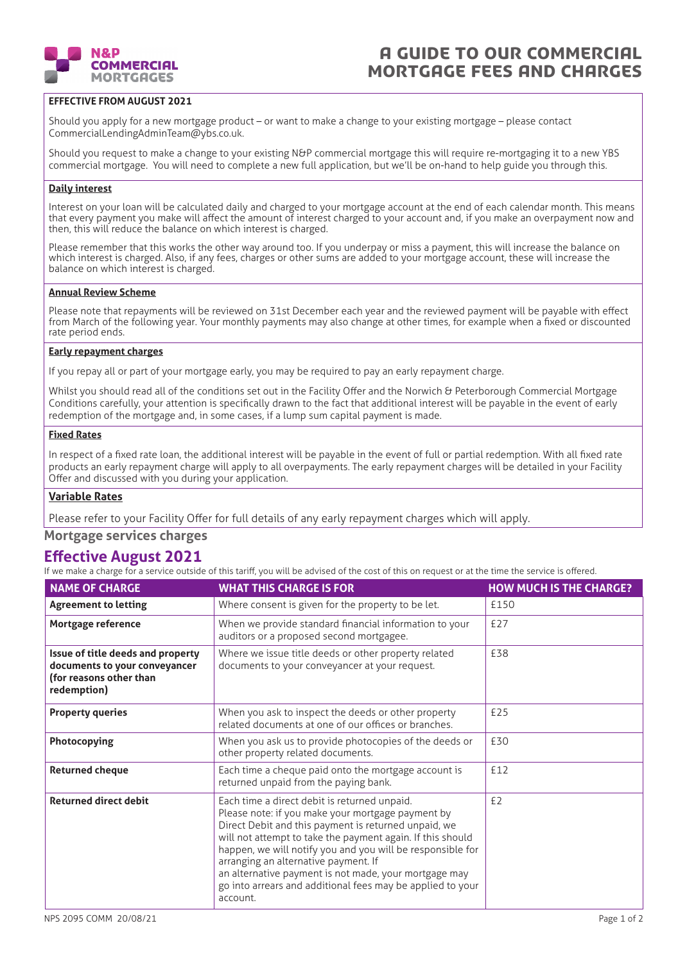

### A GUIDE TO OUR commercial mortgage fees and charges

#### **EFFECTIVE FROM AUGUST 2021**

Should you apply for a new mortgage product – or want to make a change to your existing mortgage – please contact CommercialLendingAdminTeam@ybs.co.uk.

Should you request to make a change to your existing N&P commercial mortgage this will require re-mortgaging it to a new YBS commercial mortgage. You will need to complete a new full application, but we'll be on-hand to help guide you through this.

#### **Daily interest**

Interest on your loan will be calculated daily and charged to your mortgage account at the end of each calendar month. This means that every payment you make will affect the amount of interest charged to your account and, if you make an overpayment now and then, this will reduce the balance on which interest is charged.

Please remember that this works the other way around too. If you underpay or miss a payment, this will increase the balance on which interest is charged. Also, if any fees, charges or other sums are added to your mortgage account, these will increase the balance on which interest is charged.

#### **Annual Review Scheme**

Please note that repayments will be reviewed on 31st December each year and the reviewed payment will be payable with effect from March of the following year. Your monthly payments may also change at other times, for example when a fixed or discounted rate period ends.

#### **Early repayment charges**

If you repay all or part of your mortgage early, you may be required to pay an early repayment charge.

Whilst you should read all of the conditions set out in the Facility Offer and the Norwich & Peterborough Commercial Mortgage Conditions carefully, your attention is specifically drawn to the fact that additional interest will be payable in the event of early redemption of the mortgage and, in some cases, if a lump sum capital payment is made.

#### **Fixed Rates**

In respect of a fixed rate loan, the additional interest will be payable in the event of full or partial redemption. With all fixed rate products an early repayment charge will apply to all overpayments. The early repayment charges will be detailed in your Facility Offer and discussed with you during your application.

#### **Variable Rates**

Please refer to your Facility Offer for full details of any early repayment charges which will apply.

**Mortgage services charges**

### **Effective August 2021**

If we make a charge for a service outside of this tariff, you will be advised of the cost of this on request or at the time the service is offered.

| <b>NAME OF CHARGE</b>                                                                                        | <b>WHAT THIS CHARGE IS FOR</b>                                                                                                                                                                                                                                                                                                                                                                                                                                   | <b>HOW MUCH IS THE CHARGE?</b> |
|--------------------------------------------------------------------------------------------------------------|------------------------------------------------------------------------------------------------------------------------------------------------------------------------------------------------------------------------------------------------------------------------------------------------------------------------------------------------------------------------------------------------------------------------------------------------------------------|--------------------------------|
| <b>Agreement to letting</b>                                                                                  | Where consent is given for the property to be let.                                                                                                                                                                                                                                                                                                                                                                                                               | £150                           |
| Mortgage reference                                                                                           | When we provide standard financial information to your<br>auditors or a proposed second mortgagee.                                                                                                                                                                                                                                                                                                                                                               | £27                            |
| Issue of title deeds and property<br>documents to your conveyancer<br>(for reasons other than<br>redemption) | Where we issue title deeds or other property related<br>documents to your conveyancer at your request.                                                                                                                                                                                                                                                                                                                                                           | £38                            |
| <b>Property queries</b>                                                                                      | When you ask to inspect the deeds or other property<br>related documents at one of our offices or branches.                                                                                                                                                                                                                                                                                                                                                      | £25                            |
| Photocopying                                                                                                 | When you ask us to provide photocopies of the deeds or<br>other property related documents.                                                                                                                                                                                                                                                                                                                                                                      | £30                            |
| <b>Returned cheque</b>                                                                                       | Each time a cheque paid onto the mortgage account is<br>returned unpaid from the paying bank.                                                                                                                                                                                                                                                                                                                                                                    | £12                            |
| <b>Returned direct debit</b>                                                                                 | Each time a direct debit is returned unpaid.<br>Please note: if you make your mortgage payment by<br>Direct Debit and this payment is returned unpaid, we<br>will not attempt to take the payment again. If this should<br>happen, we will notify you and you will be responsible for<br>arranging an alternative payment. If<br>an alternative payment is not made, your mortgage may<br>go into arrears and additional fees may be applied to your<br>account. | £2                             |